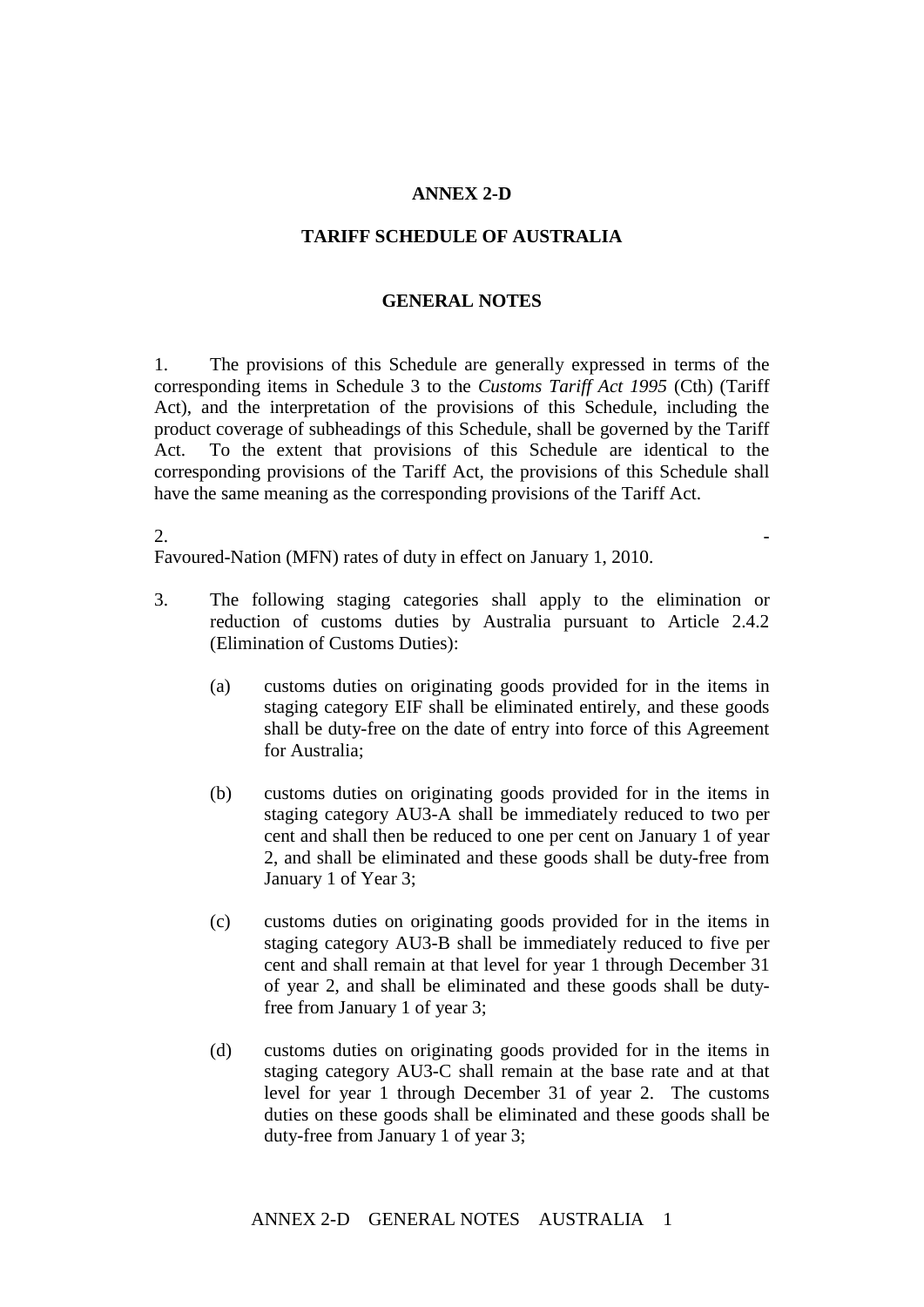## **ANNEX 2-D**

## **TARIFF SCHEDULE OF AUSTRALIA**

## **GENERAL NOTES**

1. The provisions of this Schedule are generally expressed in terms of the corresponding items in Schedule 3 to the *Customs Tariff Act 1995* (Cth) (Tariff Act), and the interpretation of the provisions of this Schedule, including the product coverage of subheadings of this Schedule, shall be governed by the Tariff Act. To the extent that provisions of this Schedule are identical to the corresponding provisions of the Tariff Act, the provisions of this Schedule shall have the same meaning as the corresponding provisions of the Tariff Act.

## $2.$

Favoured-Nation (MFN) rates of duty in effect on January 1, 2010.

- 3. The following staging categories shall apply to the elimination or reduction of customs duties by Australia pursuant to Article 2.4.2 (Elimination of Customs Duties):
	- (a) customs duties on originating goods provided for in the items in staging category EIF shall be eliminated entirely, and these goods shall be duty-free on the date of entry into force of this Agreement for Australia;
	- (b) customs duties on originating goods provided for in the items in staging category AU3-A shall be immediately reduced to two per cent and shall then be reduced to one per cent on January 1 of year 2, and shall be eliminated and these goods shall be duty-free from January 1 of Year 3;
	- (c) customs duties on originating goods provided for in the items in staging category AU3-B shall be immediately reduced to five per cent and shall remain at that level for year 1 through December 31 of year 2, and shall be eliminated and these goods shall be dutyfree from January 1 of year 3;
	- (d) customs duties on originating goods provided for in the items in staging category AU3-C shall remain at the base rate and at that level for year 1 through December 31 of year 2. The customs duties on these goods shall be eliminated and these goods shall be duty-free from January 1 of year 3;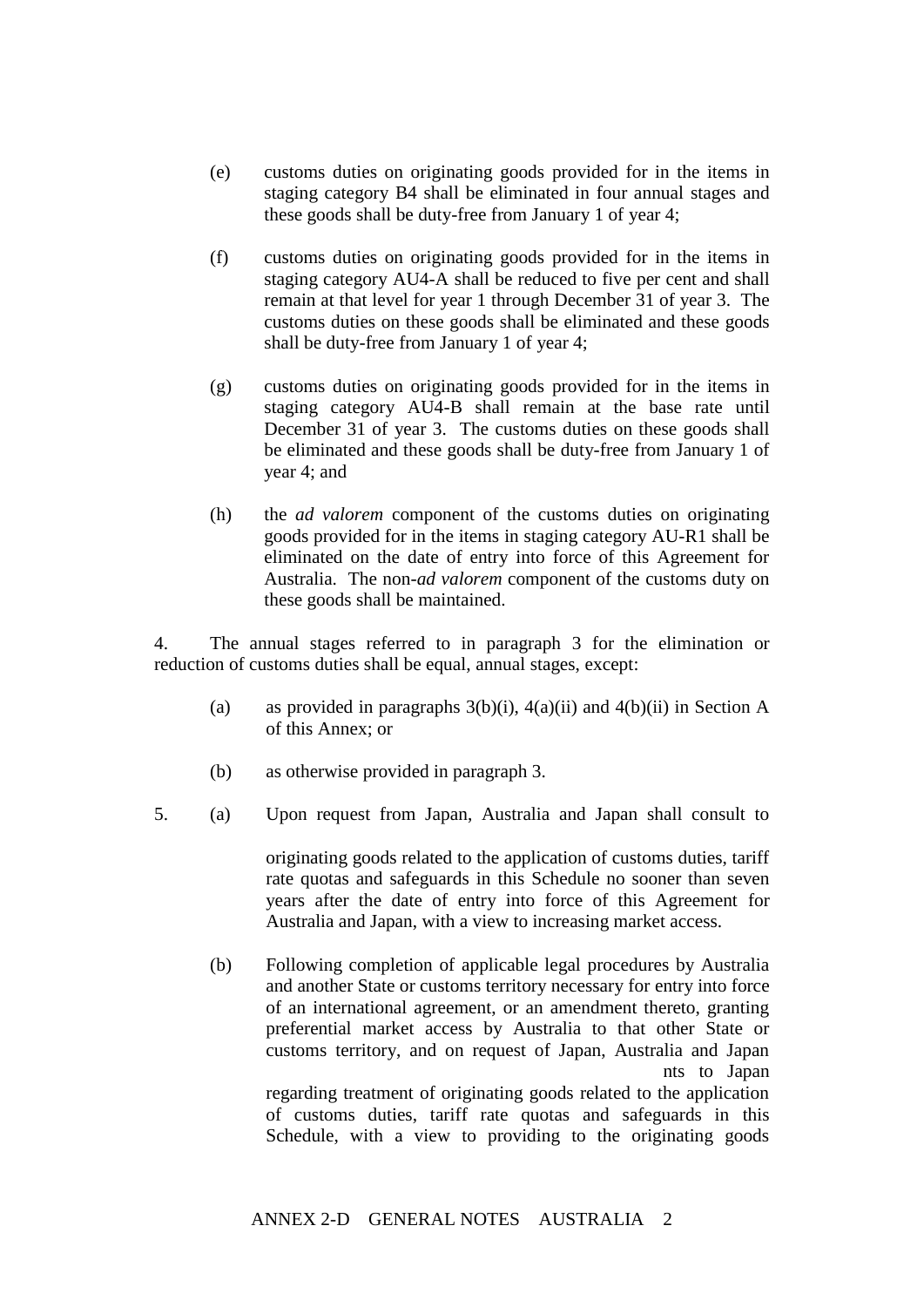- (e) customs duties on originating goods provided for in the items in staging category B4 shall be eliminated in four annual stages and these goods shall be duty-free from January 1 of year 4;
- (f) customs duties on originating goods provided for in the items in staging category AU4-A shall be reduced to five per cent and shall remain at that level for year 1 through December 31 of year 3. The customs duties on these goods shall be eliminated and these goods shall be duty-free from January 1 of year 4;
- (g) customs duties on originating goods provided for in the items in staging category AU4-B shall remain at the base rate until December 31 of year 3. The customs duties on these goods shall be eliminated and these goods shall be duty-free from January 1 of year 4; and
- (h) the *ad valorem* component of the customs duties on originating goods provided for in the items in staging category AU-R1 shall be eliminated on the date of entry into force of this Agreement for Australia. The non-*ad valorem* component of the customs duty on these goods shall be maintained.

4. The annual stages referred to in paragraph 3 for the elimination or reduction of customs duties shall be equal, annual stages, except:

- (a) as provided in paragraphs  $3(b)(i)$ ,  $4(a)(ii)$  and  $4(b)(ii)$  in Section A of this Annex; or
- (b) as otherwise provided in paragraph 3.
- 5. (a) Upon request from Japan, Australia and Japan shall consult to

originating goods related to the application of customs duties, tariff rate quotas and safeguards in this Schedule no sooner than seven years after the date of entry into force of this Agreement for Australia and Japan, with a view to increasing market access.

(b) Following completion of applicable legal procedures by Australia and another State or customs territory necessary for entry into force of an international agreement, or an amendment thereto, granting preferential market access by Australia to that other State or customs territory, and on request of Japan, Australia and Japan nts to Japan

regarding treatment of originating goods related to the application of customs duties, tariff rate quotas and safeguards in this Schedule, with a view to providing to the originating goods